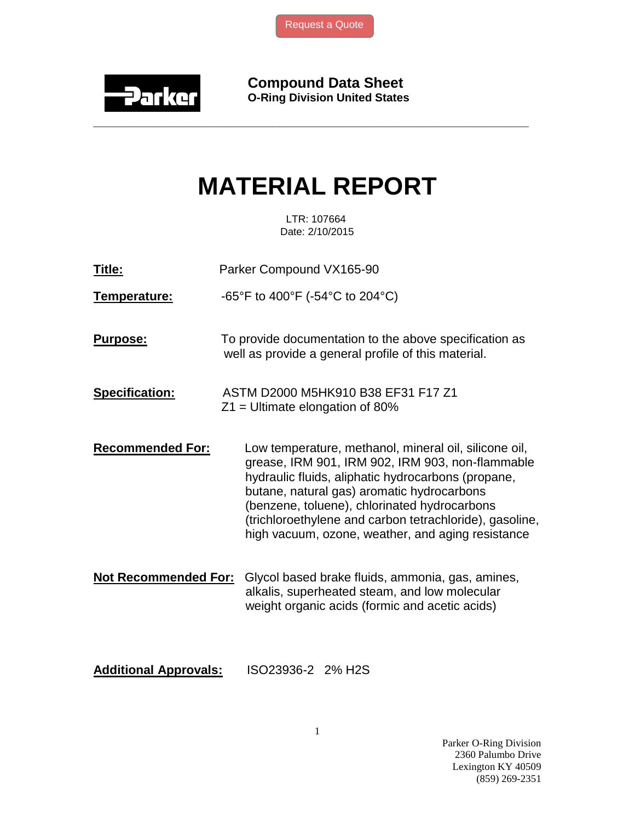

**Compound Data Sheet O-Ring Division United States**

## **MATERIAL REPORT**

**\_\_\_\_\_\_\_\_\_\_\_\_\_\_\_\_\_\_\_\_\_\_\_\_\_\_\_\_\_\_\_\_\_\_\_\_\_\_\_\_\_\_\_\_\_\_\_\_\_\_\_\_\_\_\_\_\_\_\_\_\_\_\_**

 LTR: 107664 Date: 2/10/2015

**Title:** Parker Compound VX165-90

**Temperature:** -65°F to 400°F (-54°C to 204°C)

- **Purpose:** To provide documentation to the above specification as well as provide a general profile of this material.
- **Specification:** ASTM D2000 M5HK910 B38 EF31 F17 Z1  $Z_1$  = Ultimate elongation of 80%
- **Recommended For:** Low temperature, methanol, mineral oil, silicone oil, grease, IRM 901, IRM 902, IRM 903, non-flammable hydraulic fluids, aliphatic hydrocarbons (propane, butane, natural gas) aromatic hydrocarbons (benzene, toluene), chlorinated hydrocarbons (trichloroethylene and carbon tetrachloride), gasoline, high vacuum, ozone, weather, and aging resistance
- **Not Recommended For:** Glycol based brake fluids, ammonia, gas, amines, alkalis, superheated steam, and low molecular weight organic acids (formic and acetic acids)
- **Additional Approvals:** ISO23936-2 2% H2S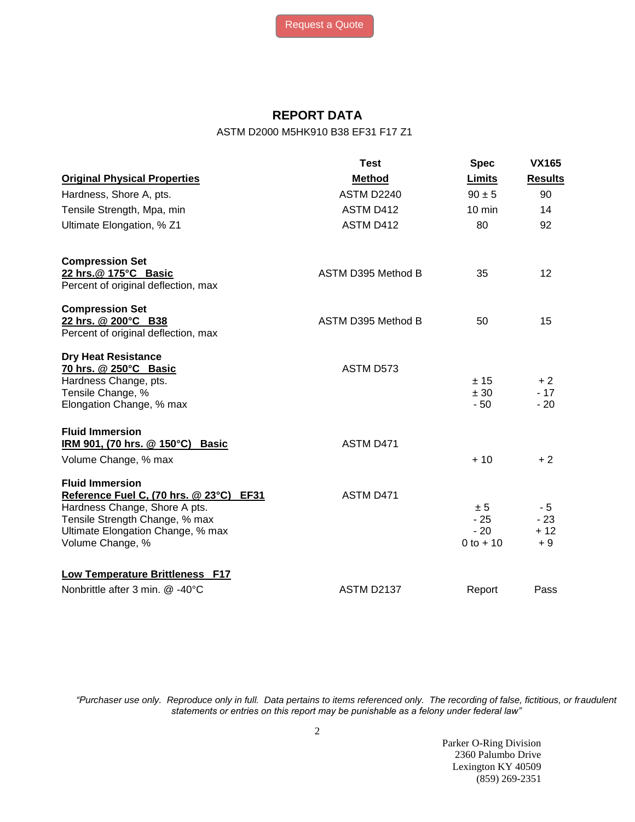## **REPORT DATA**

ASTM D2000 M5HK910 B38 EF31 F17 Z1

|                                                                                                                                                                                               | <b>Test</b>        | <b>Spec</b>                           | <b>VX165</b>                  |
|-----------------------------------------------------------------------------------------------------------------------------------------------------------------------------------------------|--------------------|---------------------------------------|-------------------------------|
| <b>Original Physical Properties</b>                                                                                                                                                           | <b>Method</b>      | Limits                                | <b>Results</b>                |
| Hardness, Shore A, pts.                                                                                                                                                                       | ASTM D2240         | $90 \pm 5$                            | 90                            |
| Tensile Strength, Mpa, min                                                                                                                                                                    | ASTM D412          | $10 \text{ min}$                      | 14                            |
| Ultimate Elongation, % Z1                                                                                                                                                                     | ASTM D412          | 80                                    | 92                            |
| <b>Compression Set</b><br>22 hrs.@ 175°C Basic<br>Percent of original deflection, max                                                                                                         | ASTM D395 Method B | 35                                    | 12                            |
| <b>Compression Set</b><br>22 hrs. @ 200°C B38<br>Percent of original deflection, max                                                                                                          | ASTM D395 Method B | 50                                    | 15                            |
| <b>Dry Heat Resistance</b><br>70 hrs. @ 250°C Basic<br>Hardness Change, pts.<br>Tensile Change, %<br>Elongation Change, % max                                                                 | ASTM D573          | ± 15<br>± 30<br>$-50$                 | $+2$<br>$-17$<br>$-20$        |
| <b>Fluid Immersion</b><br>IRM 901, (70 hrs. @ 150°C) Basic<br>Volume Change, % max                                                                                                            | ASTM D471          | $+10$                                 | $+2$                          |
| <b>Fluid Immersion</b><br>Reference Fuel C, (70 hrs. @ 23°C) EF31<br>Hardness Change, Shore A pts.<br>Tensile Strength Change, % max<br>Ultimate Elongation Change, % max<br>Volume Change, % | ASTM D471          | ± 5<br>$-25$<br>$-20$<br>$0$ to $+10$ | - 5<br>$-23$<br>$+12$<br>$+9$ |
| Low Temperature Brittleness F17<br>Nonbrittle after 3 min. @ -40°C                                                                                                                            | <b>ASTM D2137</b>  | Report                                | Pass                          |

*"Purchaser use only. Reproduce only in full. Data pertains to items referenced only. The recording of false, fictitious, or fraudulent statements or entries on this report may be punishable as a felony under federal law"*